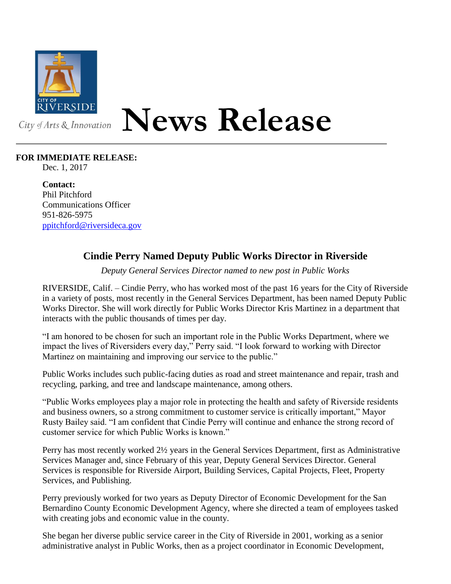

## **News Release**

## **FOR IMMEDIATE RELEASE:**

Dec. 1, 2017

**Contact:** Phil Pitchford Communications Officer 951-826-5975 [ppitchford@riversideca.gov](mailto:ppitchford@riversideca.gov)

## **Cindie Perry Named Deputy Public Works Director in Riverside**

*Deputy General Services Director named to new post in Public Works*

RIVERSIDE, Calif. – Cindie Perry, who has worked most of the past 16 years for the City of Riverside in a variety of posts, most recently in the General Services Department, has been named Deputy Public Works Director. She will work directly for Public Works Director Kris Martinez in a department that interacts with the public thousands of times per day.

"I am honored to be chosen for such an important role in the Public Works Department, where we impact the lives of Riversiders every day," Perry said. "I look forward to working with Director Martinez on maintaining and improving our service to the public."

Public Works includes such public-facing duties as road and street maintenance and repair, trash and recycling, parking, and tree and landscape maintenance, among others.

"Public Works employees play a major role in protecting the health and safety of Riverside residents and business owners, so a strong commitment to customer service is critically important," Mayor Rusty Bailey said. "I am confident that Cindie Perry will continue and enhance the strong record of customer service for which Public Works is known."

Perry has most recently worked 2½ years in the General Services Department, first as Administrative Services Manager and, since February of this year, Deputy General Services Director. General Services is responsible for Riverside Airport, Building Services, Capital Projects, Fleet, Property Services, and Publishing.

Perry previously worked for two years as Deputy Director of Economic Development for the San Bernardino County Economic Development Agency, where she directed a team of employees tasked with creating jobs and economic value in the county.

She began her diverse public service career in the City of Riverside in 2001, working as a senior administrative analyst in Public Works, then as a project coordinator in Economic Development,